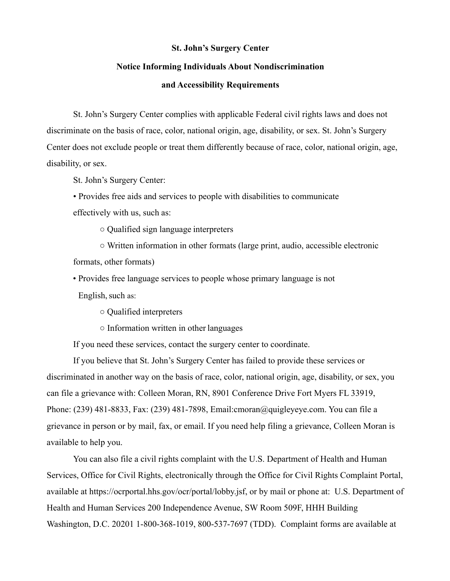### **St. John's Surgery Center**

# **Notice Informing Individuals About Nondiscrimination**

# **and Accessibility Requirements**

St. John's Surgery Center complies with applicable Federal civil rights laws and does not discriminate on the basis of race, color, national origin, age, disability, or sex. St. John's Surgery Center does not exclude people or treat them differently because of race, color, national origin, age, disability, or sex.

St. John's Surgery Center:

• Provides free aids and services to people with disabilities to communicate effectively with us, such as:

○ Qualified sign language interpreters

○ Written information in other formats (large print, audio, accessible electronic formats, other formats)

• Provides free language services to people whose primary language is not

English, such as:

○ Qualified interpreters

○ Information written in other languages

If you need these services, contact the surgery center to coordinate.

If you believe that St. John's Surgery Center has failed to provide these services or discriminated in another way on the basis of race, color, national origin, age, disability, or sex, you can file a grievance with: Colleen Moran, RN, 8901 Conference Drive Fort Myers FL 33919, Phone: (239) 481-8833, Fax: (239) 481-7898, Email:cmoran@quigleyeye.com. You can file a grievance in person or by mail, fax, or email. If you need help filing a grievance, Colleen Moran is available to help you.

You can also file a civil rights complaint with the U.S. Department of Health and Human Services, Office for Civil Rights, electronically through the Office for Civil Rights Complaint Portal, available at https://ocrportal.hhs.gov/ocr/portal/lobby.jsf, or by mail or phone at: U.S. Department of Health and Human Services 200 Independence Avenue, SW Room 509F, HHH Building Washington, D.C. 20201 1-800-368-1019, 800-537-7697 (TDD). Complaint forms are available at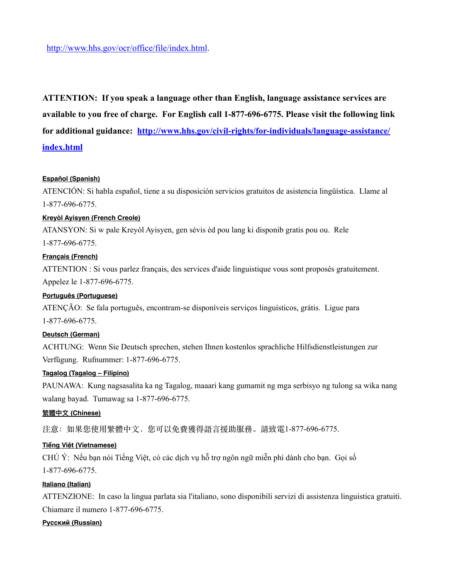**ATTENTION: If you speak a language other than English, language assistance services are available to you free of charge. For English call 1-877-696-6775. Please visit the following link for additional guidance: [http://www.hhs.gov/civil-rights/for-individuals/language-assistance/](http://www.hhs.gov/civil-rights/for-individuals/language-assistance/index.html) [index.html](http://www.hhs.gov/civil-rights/for-individuals/language-assistance/index.html)**

#### **Español (Spanish)**

ATENCIÓN: Si habla español, tiene a su disposición servicios gratuitos de asistencia lingüística. Llame al 1-877-696-6775.

#### **Kreyòl Ayisyen (French Creole)**

ATANSYON: Si w pale Kreyòl Ayisyen, gen sèvis èd pou lang ki disponib gratis pou ou. Rele 1-877-696-6775.

#### **Français (French)**

ATTENTION : Si vous parlez français, des services d'aide linguistique vous sont proposés gratuitement. Appelez le 1-877-696-6775.

### **Português (Portuguese)**

ATENÇÃO: Se fala português, encontram-se disponíveis serviços linguísticos, grátis. Ligue para 1-877-696-6775.

### **Deutsch (German)**

ACHTUNG: Wenn Sie Deutsch sprechen, stehen Ihnen kostenlos sprachliche Hilfsdienstleistungen zur Verfügung. Rufnummer: 1-877-696-6775.

#### **Tagalog (Tagalog – Filipino)**

PAUNAWA: Kung nagsasalita ka ng Tagalog, maaari kang gumamit ng mga serbisyo ng tulong sa wika nang walang bayad. Tumawag sa 1-877-696-6775.

#### **繁體中⽂ (Chinese)**

注意: 如果您使用繁體中文, 您可以免費獲得語言援助服務。請致電1-877-696-6775.

### **Tiếng Việt (Vietnamese)**

CHÚ Ý: Nếu bạn nói Tiếng Việt, có các dịch vụ hỗ trợ ngôn ngữ miễn phí dành cho bạn. Gọi số 1-877-696-6775.

## **Italiano (Italian)**

ATTENZIONE: In caso la lingua parlata sia l'italiano, sono disponibili servizi di assistenza linguistica gratuiti. Chiamare il numero 1-877-696-6775.

#### **Русский (Russian)**